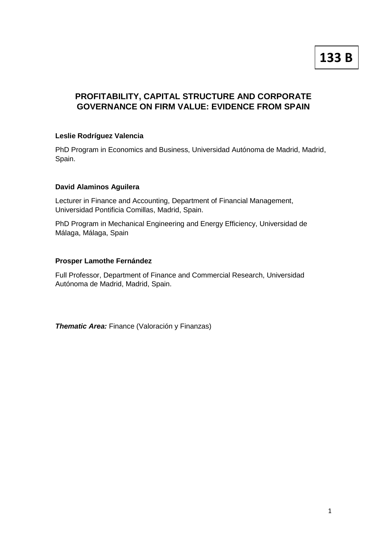# **133 B**

## **PROFITABILITY, CAPITAL STRUCTURE AND CORPORATE GOVERNANCE ON FIRM VALUE: EVIDENCE FROM SPAIN**

## **Leslie Rodríguez Valencia**

PhD Program in Economics and Business, Universidad Autónoma de Madrid, Madrid, Spain.

#### **David Alaminos Aguilera**

Lecturer in Finance and Accounting, Department of Financial Management, Universidad Pontificia Comillas, Madrid, Spain.

PhD Program in Mechanical Engineering and Energy Efficiency, Universidad de Málaga, Málaga, Spain

#### **Prosper Lamothe Fernández**

Full Professor, Department of Finance and Commercial Research, Universidad Autónoma de Madrid, Madrid, Spain.

*Thematic Area:* Finance (Valoración y Finanzas)